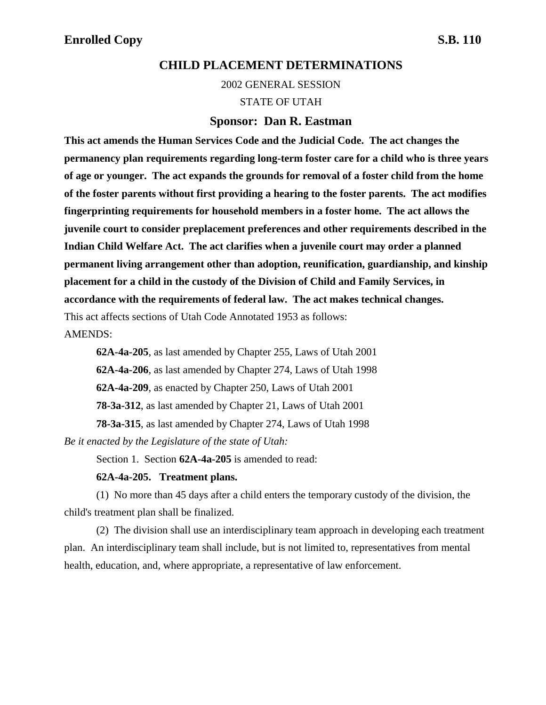2002 GENERAL SESSION

STATE OF UTAH

### **Sponsor: Dan R. Eastman**

**This act amends the Human Services Code and the Judicial Code. The act changes the permanency plan requirements regarding long-term foster care for a child who is three years of age or younger. The act expands the grounds for removal of a foster child from the home of the foster parents without first providing a hearing to the foster parents. The act modifies fingerprinting requirements for household members in a foster home. The act allows the juvenile court to consider preplacement preferences and other requirements described in the Indian Child Welfare Act. The act clarifies when a juvenile court may order a planned permanent living arrangement other than adoption, reunification, guardianship, and kinship placement for a child in the custody of the Division of Child and Family Services, in accordance with the requirements of federal law. The act makes technical changes.** This act affects sections of Utah Code Annotated 1953 as follows:

AMENDS:

**62A-4a-205**, as last amended by Chapter 255, Laws of Utah 2001

**62A-4a-206**, as last amended by Chapter 274, Laws of Utah 1998

**62A-4a-209**, as enacted by Chapter 250, Laws of Utah 2001

**78-3a-312**, as last amended by Chapter 21, Laws of Utah 2001

**78-3a-315**, as last amended by Chapter 274, Laws of Utah 1998

*Be it enacted by the Legislature of the state of Utah:*

Section 1. Section **62A-4a-205** is amended to read:

### **62A-4a-205. Treatment plans.**

(1) No more than 45 days after a child enters the temporary custody of the division, the child's treatment plan shall be finalized.

(2) The division shall use an interdisciplinary team approach in developing each treatment plan. An interdisciplinary team shall include, but is not limited to, representatives from mental health, education, and, where appropriate, a representative of law enforcement.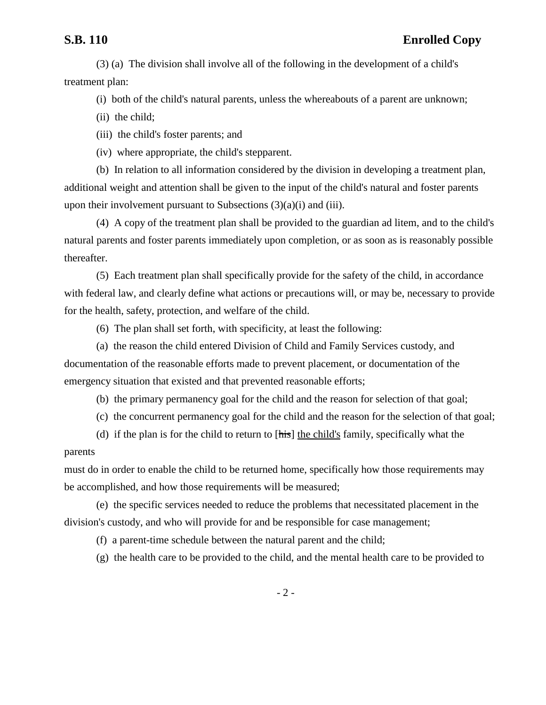(3) (a) The division shall involve all of the following in the development of a child's treatment plan:

(i) both of the child's natural parents, unless the whereabouts of a parent are unknown;

(ii) the child;

(iii) the child's foster parents; and

(iv) where appropriate, the child's stepparent.

(b) In relation to all information considered by the division in developing a treatment plan, additional weight and attention shall be given to the input of the child's natural and foster parents upon their involvement pursuant to Subsections  $(3)(a)(i)$  and  $(iii)$ .

(4) A copy of the treatment plan shall be provided to the guardian ad litem, and to the child's natural parents and foster parents immediately upon completion, or as soon as is reasonably possible thereafter.

(5) Each treatment plan shall specifically provide for the safety of the child, in accordance with federal law, and clearly define what actions or precautions will, or may be, necessary to provide for the health, safety, protection, and welfare of the child.

(6) The plan shall set forth, with specificity, at least the following:

(a) the reason the child entered Division of Child and Family Services custody, and documentation of the reasonable efforts made to prevent placement, or documentation of the emergency situation that existed and that prevented reasonable efforts;

(b) the primary permanency goal for the child and the reason for selection of that goal;

(c) the concurrent permanency goal for the child and the reason for the selection of that goal;

(d) if the plan is for the child to return to  $[\overline{h}$  the child's family, specifically what the parents

must do in order to enable the child to be returned home, specifically how those requirements may be accomplished, and how those requirements will be measured;

(e) the specific services needed to reduce the problems that necessitated placement in the division's custody, and who will provide for and be responsible for case management;

(f) a parent-time schedule between the natural parent and the child;

(g) the health care to be provided to the child, and the mental health care to be provided to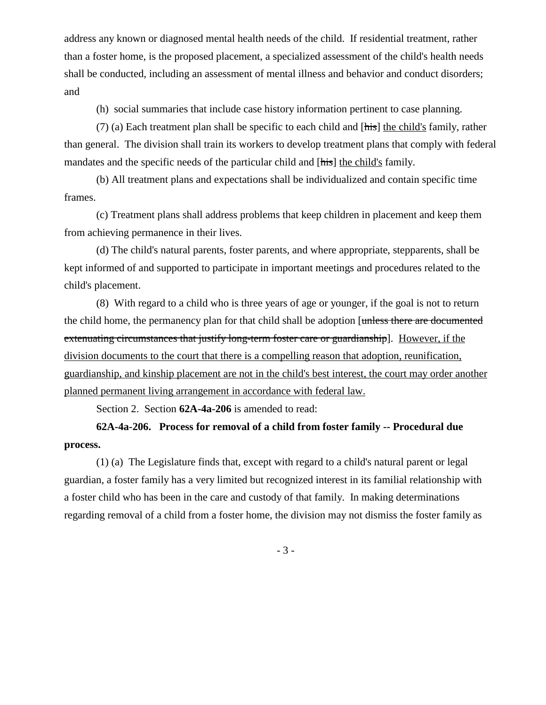address any known or diagnosed mental health needs of the child. If residential treatment, rather than a foster home, is the proposed placement, a specialized assessment of the child's health needs shall be conducted, including an assessment of mental illness and behavior and conduct disorders; and

(h) social summaries that include case history information pertinent to case planning.

(7) (a) Each treatment plan shall be specific to each child and [his] the child's family, rather than general. The division shall train its workers to develop treatment plans that comply with federal mandates and the specific needs of the particular child and [his] the child's family.

(b) All treatment plans and expectations shall be individualized and contain specific time frames.

(c) Treatment plans shall address problems that keep children in placement and keep them from achieving permanence in their lives.

(d) The child's natural parents, foster parents, and where appropriate, stepparents, shall be kept informed of and supported to participate in important meetings and procedures related to the child's placement.

(8) With regard to a child who is three years of age or younger, if the goal is not to return the child home, the permanency plan for that child shall be adoption [unless there are documented extenuating circumstances that justify long-term foster care or guardianship. However, if the division documents to the court that there is a compelling reason that adoption, reunification, guardianship, and kinship placement are not in the child's best interest, the court may order another planned permanent living arrangement in accordance with federal law.

Section 2. Section **62A-4a-206** is amended to read:

# **62A-4a-206. Process for removal of a child from foster family -- Procedural due process.**

(1) (a) The Legislature finds that, except with regard to a child's natural parent or legal guardian, a foster family has a very limited but recognized interest in its familial relationship with a foster child who has been in the care and custody of that family. In making determinations regarding removal of a child from a foster home, the division may not dismiss the foster family as

- 3 -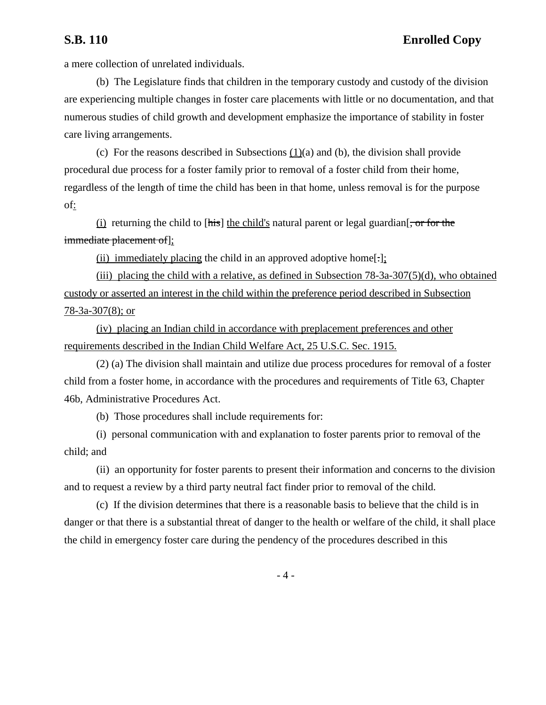a mere collection of unrelated individuals.

(b) The Legislature finds that children in the temporary custody and custody of the division are experiencing multiple changes in foster care placements with little or no documentation, and that numerous studies of child growth and development emphasize the importance of stability in foster care living arrangements.

(c) For the reasons described in Subsections (1)(a) and (b), the division shall provide procedural due process for a foster family prior to removal of a foster child from their home, regardless of the length of time the child has been in that home, unless removal is for the purpose of:

 $(i)$  returning the child to [his] the child's natural parent or legal guardian<sup>[, or for the</sup> immediate placement of];

(ii) immediately placing the child in an approved adoptive home[ $:$ ];

(iii) placing the child with a relative, as defined in Subsection  $78-3a-307(5)(d)$ , who obtained custody or asserted an interest in the child within the preference period described in Subsection 78-3a-307(8); or

(iv) placing an Indian child in accordance with preplacement preferences and other requirements described in the Indian Child Welfare Act, 25 U.S.C. Sec. 1915.

(2) (a) The division shall maintain and utilize due process procedures for removal of a foster child from a foster home, in accordance with the procedures and requirements of Title 63, Chapter 46b, Administrative Procedures Act.

(b) Those procedures shall include requirements for:

(i) personal communication with and explanation to foster parents prior to removal of the child; and

(ii) an opportunity for foster parents to present their information and concerns to the division and to request a review by a third party neutral fact finder prior to removal of the child.

(c) If the division determines that there is a reasonable basis to believe that the child is in danger or that there is a substantial threat of danger to the health or welfare of the child, it shall place the child in emergency foster care during the pendency of the procedures described in this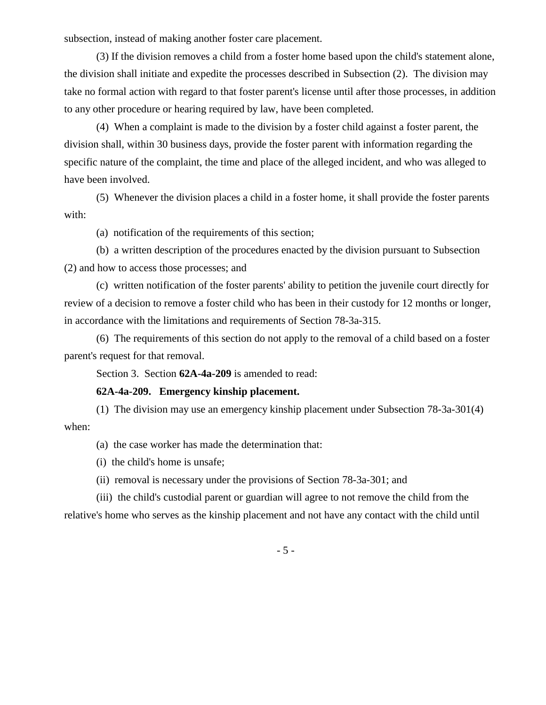subsection, instead of making another foster care placement.

(3) If the division removes a child from a foster home based upon the child's statement alone, the division shall initiate and expedite the processes described in Subsection (2). The division may take no formal action with regard to that foster parent's license until after those processes, in addition to any other procedure or hearing required by law, have been completed.

(4) When a complaint is made to the division by a foster child against a foster parent, the division shall, within 30 business days, provide the foster parent with information regarding the specific nature of the complaint, the time and place of the alleged incident, and who was alleged to have been involved.

(5) Whenever the division places a child in a foster home, it shall provide the foster parents with:

(a) notification of the requirements of this section;

(b) a written description of the procedures enacted by the division pursuant to Subsection (2) and how to access those processes; and

(c) written notification of the foster parents' ability to petition the juvenile court directly for review of a decision to remove a foster child who has been in their custody for 12 months or longer, in accordance with the limitations and requirements of Section 78-3a-315.

(6) The requirements of this section do not apply to the removal of a child based on a foster parent's request for that removal.

Section 3. Section **62A-4a-209** is amended to read:

### **62A-4a-209. Emergency kinship placement.**

(1) The division may use an emergency kinship placement under Subsection 78-3a-301(4) when:

(a) the case worker has made the determination that:

(i) the child's home is unsafe;

(ii) removal is necessary under the provisions of Section 78-3a-301; and

(iii) the child's custodial parent or guardian will agree to not remove the child from the

relative's home who serves as the kinship placement and not have any contact with the child until

- 5 -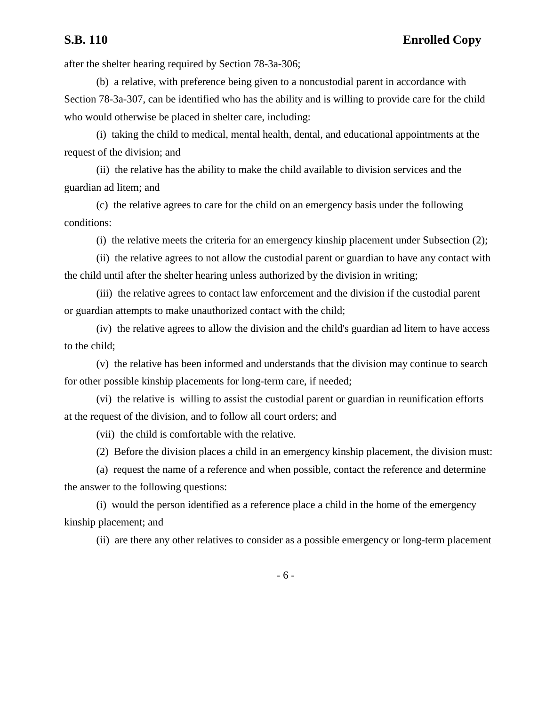## **S.B. 110 Enrolled Copy**

after the shelter hearing required by Section 78-3a-306;

(b) a relative, with preference being given to a noncustodial parent in accordance with Section 78-3a-307, can be identified who has the ability and is willing to provide care for the child who would otherwise be placed in shelter care, including:

(i) taking the child to medical, mental health, dental, and educational appointments at the request of the division; and

(ii) the relative has the ability to make the child available to division services and the guardian ad litem; and

(c) the relative agrees to care for the child on an emergency basis under the following conditions:

(i) the relative meets the criteria for an emergency kinship placement under Subsection (2);

(ii) the relative agrees to not allow the custodial parent or guardian to have any contact with the child until after the shelter hearing unless authorized by the division in writing;

(iii) the relative agrees to contact law enforcement and the division if the custodial parent or guardian attempts to make unauthorized contact with the child;

(iv) the relative agrees to allow the division and the child's guardian ad litem to have access to the child;

(v) the relative has been informed and understands that the division may continue to search for other possible kinship placements for long-term care, if needed;

(vi) the relative is willing to assist the custodial parent or guardian in reunification efforts at the request of the division, and to follow all court orders; and

(vii) the child is comfortable with the relative.

(2) Before the division places a child in an emergency kinship placement, the division must:

(a) request the name of a reference and when possible, contact the reference and determine the answer to the following questions:

(i) would the person identified as a reference place a child in the home of the emergency kinship placement; and

(ii) are there any other relatives to consider as a possible emergency or long-term placement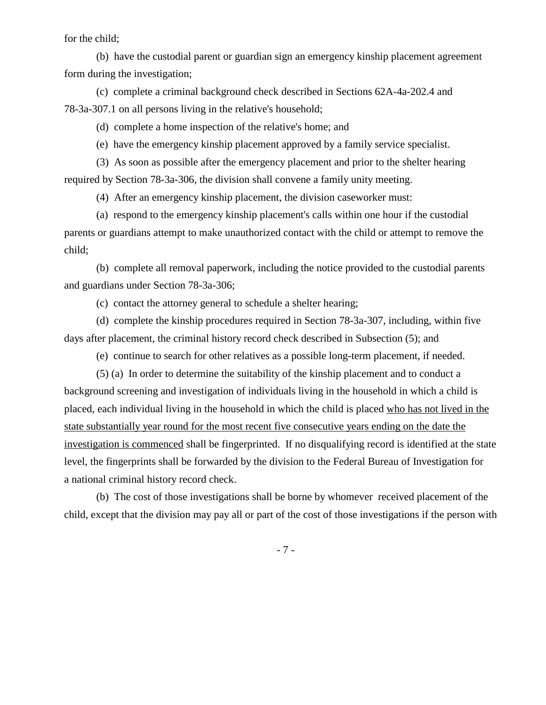for the child;

(b) have the custodial parent or guardian sign an emergency kinship placement agreement form during the investigation;

(c) complete a criminal background check described in Sections 62A-4a-202.4 and 78-3a-307.1 on all persons living in the relative's household;

(d) complete a home inspection of the relative's home; and

(e) have the emergency kinship placement approved by a family service specialist.

(3) As soon as possible after the emergency placement and prior to the shelter hearing required by Section 78-3a-306, the division shall convene a family unity meeting.

(4) After an emergency kinship placement, the division caseworker must:

(a) respond to the emergency kinship placement's calls within one hour if the custodial parents or guardians attempt to make unauthorized contact with the child or attempt to remove the child;

(b) complete all removal paperwork, including the notice provided to the custodial parents and guardians under Section 78-3a-306;

(c) contact the attorney general to schedule a shelter hearing;

(d) complete the kinship procedures required in Section 78-3a-307, including, within five days after placement, the criminal history record check described in Subsection (5); and

(e) continue to search for other relatives as a possible long-term placement, if needed.

(5) (a) In order to determine the suitability of the kinship placement and to conduct a background screening and investigation of individuals living in the household in which a child is placed, each individual living in the household in which the child is placed who has not lived in the state substantially year round for the most recent five consecutive years ending on the date the investigation is commenced shall be fingerprinted. If no disqualifying record is identified at the state level, the fingerprints shall be forwarded by the division to the Federal Bureau of Investigation for a national criminal history record check.

(b) The cost of those investigations shall be borne by whomever received placement of the child, except that the division may pay all or part of the cost of those investigations if the person with

- 7 -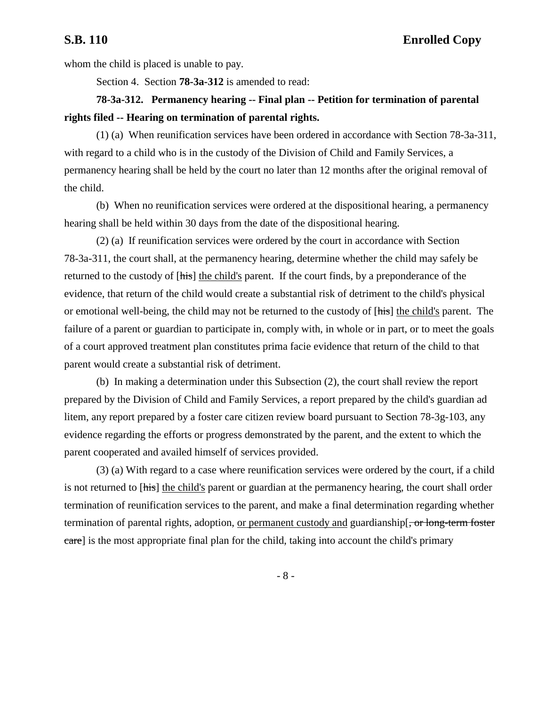whom the child is placed is unable to pay.

Section 4. Section **78-3a-312** is amended to read:

## **78-3a-312. Permanency hearing -- Final plan -- Petition for termination of parental rights filed -- Hearing on termination of parental rights.**

(1) (a) When reunification services have been ordered in accordance with Section 78-3a-311, with regard to a child who is in the custody of the Division of Child and Family Services, a permanency hearing shall be held by the court no later than 12 months after the original removal of the child.

(b) When no reunification services were ordered at the dispositional hearing, a permanency hearing shall be held within 30 days from the date of the dispositional hearing.

(2) (a) If reunification services were ordered by the court in accordance with Section 78-3a-311, the court shall, at the permanency hearing, determine whether the child may safely be returned to the custody of [his] the child's parent. If the court finds, by a preponderance of the evidence, that return of the child would create a substantial risk of detriment to the child's physical or emotional well-being, the child may not be returned to the custody of [his] the child's parent. The failure of a parent or guardian to participate in, comply with, in whole or in part, or to meet the goals of a court approved treatment plan constitutes prima facie evidence that return of the child to that parent would create a substantial risk of detriment.

(b) In making a determination under this Subsection (2), the court shall review the report prepared by the Division of Child and Family Services, a report prepared by the child's guardian ad litem, any report prepared by a foster care citizen review board pursuant to Section 78-3g-103, any evidence regarding the efforts or progress demonstrated by the parent, and the extent to which the parent cooperated and availed himself of services provided.

(3) (a) With regard to a case where reunification services were ordered by the court, if a child is not returned to [his] the child's parent or guardian at the permanency hearing, the court shall order termination of reunification services to the parent, and make a final determination regarding whether termination of parental rights, adoption, <u>or permanent custody and</u> guardianship[, or long-term foster care] is the most appropriate final plan for the child, taking into account the child's primary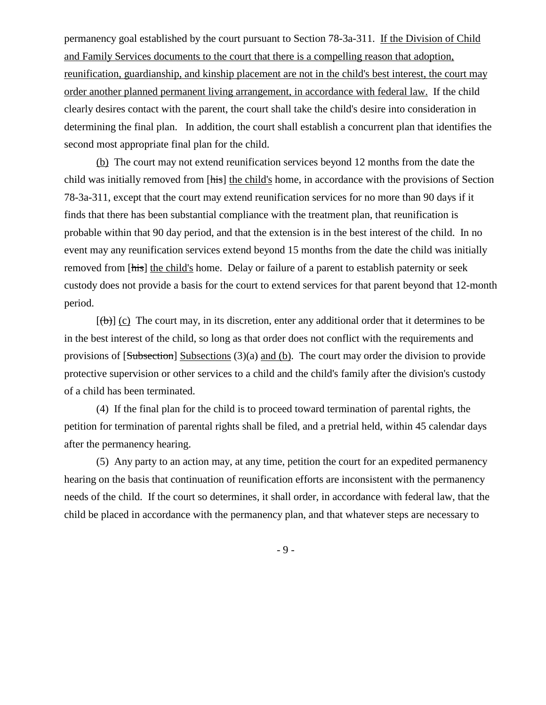permanency goal established by the court pursuant to Section 78-3a-311. If the Division of Child and Family Services documents to the court that there is a compelling reason that adoption, reunification, guardianship, and kinship placement are not in the child's best interest, the court may order another planned permanent living arrangement, in accordance with federal law. If the child clearly desires contact with the parent, the court shall take the child's desire into consideration in determining the final plan. In addition, the court shall establish a concurrent plan that identifies the second most appropriate final plan for the child.

(b) The court may not extend reunification services beyond 12 months from the date the child was initially removed from [his] the child's home, in accordance with the provisions of Section 78-3a-311, except that the court may extend reunification services for no more than 90 days if it finds that there has been substantial compliance with the treatment plan, that reunification is probable within that 90 day period, and that the extension is in the best interest of the child. In no event may any reunification services extend beyond 15 months from the date the child was initially removed from [his] the child's home. Delay or failure of a parent to establish paternity or seek custody does not provide a basis for the court to extend services for that parent beyond that 12-month period.

 $[\text{(**b**)]$  (c) The court may, in its discretion, enter any additional order that it determines to be in the best interest of the child, so long as that order does not conflict with the requirements and provisions of [Subsection] Subsections (3)(a) and (b). The court may order the division to provide protective supervision or other services to a child and the child's family after the division's custody of a child has been terminated.

(4) If the final plan for the child is to proceed toward termination of parental rights, the petition for termination of parental rights shall be filed, and a pretrial held, within 45 calendar days after the permanency hearing.

(5) Any party to an action may, at any time, petition the court for an expedited permanency hearing on the basis that continuation of reunification efforts are inconsistent with the permanency needs of the child. If the court so determines, it shall order, in accordance with federal law, that the child be placed in accordance with the permanency plan, and that whatever steps are necessary to

- 9 -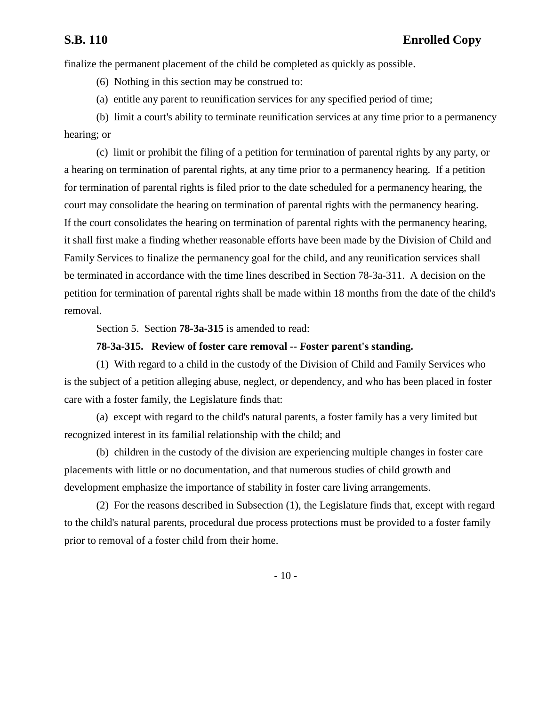finalize the permanent placement of the child be completed as quickly as possible.

(6) Nothing in this section may be construed to:

(a) entitle any parent to reunification services for any specified period of time;

(b) limit a court's ability to terminate reunification services at any time prior to a permanency hearing; or

(c) limit or prohibit the filing of a petition for termination of parental rights by any party, or a hearing on termination of parental rights, at any time prior to a permanency hearing. If a petition for termination of parental rights is filed prior to the date scheduled for a permanency hearing, the court may consolidate the hearing on termination of parental rights with the permanency hearing. If the court consolidates the hearing on termination of parental rights with the permanency hearing, it shall first make a finding whether reasonable efforts have been made by the Division of Child and Family Services to finalize the permanency goal for the child, and any reunification services shall be terminated in accordance with the time lines described in Section 78-3a-311. A decision on the petition for termination of parental rights shall be made within 18 months from the date of the child's removal.

Section 5. Section **78-3a-315** is amended to read:

### **78-3a-315. Review of foster care removal -- Foster parent's standing.**

(1) With regard to a child in the custody of the Division of Child and Family Services who is the subject of a petition alleging abuse, neglect, or dependency, and who has been placed in foster care with a foster family, the Legislature finds that:

(a) except with regard to the child's natural parents, a foster family has a very limited but recognized interest in its familial relationship with the child; and

(b) children in the custody of the division are experiencing multiple changes in foster care placements with little or no documentation, and that numerous studies of child growth and development emphasize the importance of stability in foster care living arrangements.

(2) For the reasons described in Subsection (1), the Legislature finds that, except with regard to the child's natural parents, procedural due process protections must be provided to a foster family prior to removal of a foster child from their home.